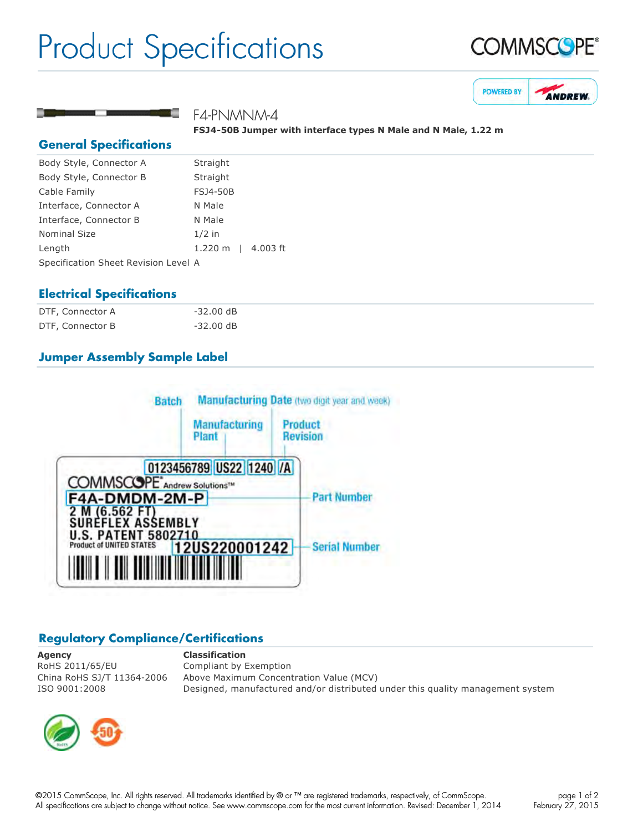## Product Specifications





### F4-PNMNM-4

**FSJ450B Jumper with interface types N Male and N Male, 1.22 m**

#### **General Specifications**

| Body Style, Connector A              | Straight           |  |
|--------------------------------------|--------------------|--|
| Body Style, Connector B              | Straight           |  |
| Cable Family                         | <b>FSJ4-50B</b>    |  |
| Interface, Connector A               | N Male             |  |
| Interface, Connector B               | N Male             |  |
| <b>Nominal Size</b>                  | $1/2$ in           |  |
| Length                               | 1.220 m   4.003 ft |  |
| Specification Sheet Revision Level A |                    |  |

#### **Electrical Specifications**

| DTF, Connector A | $-32.00$ dB |
|------------------|-------------|
| DTF, Connector B | $-32.00$ dB |

#### **Jumper Assembly Sample Label**



#### **Regulatory Compliance/Certifications**

**Agency Classification** RoHS 2011/65/EU Compliant by Exemption

China RoHS SJ/T 11364-2006 Above Maximum Concentration Value (MCV) ISO 9001:2008 Designed, manufactured and/or distributed under this quality management system